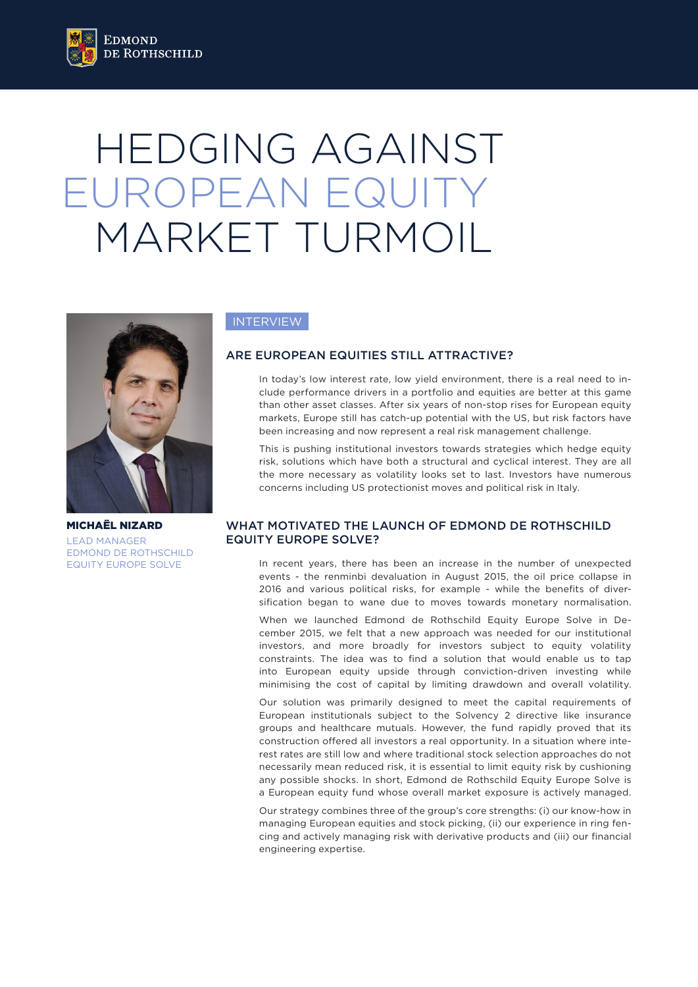# HEDGING AGAINST EUROPEAN EQUITY MARKET TURMOIL



MICHAËL NIZARD LEAD MANAGER EDMOND DE ROTHSCHILD EQUITY EUROPE SOLVE

# **INTERVIEW**

# ARE EUROPEAN EQUITIES STILL ATTRACTIVE?

In today's low interest rate, low yield environment, there is a real need to include performance drivers in a portfolio and equities are better at this game than other asset classes. After six years of non-stop rises for European equity markets, Europe still has catch-up potential with the US, but risk factors have been increasing and now represent a real risk management challenge.

This is pushing institutional investors towards strategies which hedge equity risk, solutions which have both a structural and cyclical interest. They are all the more necessary as volatility looks set to last. Investors have numerous concerns including US protectionist moves and political risk in Italy.

## WHAT MOTIVATED THE LAUNCH OF EDMOND DE ROTHSCHILD EQUITY EUROPE SOLVE?

In recent years, there has been an increase in the number of unexpected events - the renminbi devaluation in August 2015, the oil price collapse in 2016 and various political risks, for example - while the benefits of diversification began to wane due to moves towards monetary normalisation.

When we launched Edmond de Rothschild Equity Europe Solve in December 2015, we felt that a new approach was needed for our institutional investors, and more broadly for investors subject to equity volatility constraints. The idea was to find a solution that would enable us to tap into European equity upside through conviction-driven investing while minimising the cost of capital by limiting drawdown and overall volatility.

Our solution was primarily designed to meet the capital requirements of European institutionals subject to the Solvency 2 directive like insurance groups and healthcare mutuals. However, the fund rapidly proved that its construction offered all investors a real opportunity. In a situation where interest rates are still low and where traditional stock selection approaches do not necessarily mean reduced risk, it is essential to limit equity risk by cushioning any possible shocks. In short, Edmond de Rothschild Equity Europe Solve is a European equity fund whose overall market exposure is actively managed.

Our strategy combines three of the group's core strengths: (i) our know-how in managing European equities and stock picking, (ii) our experience in ring fencing and actively managing risk with derivative products and (iii) our financial engineering expertise.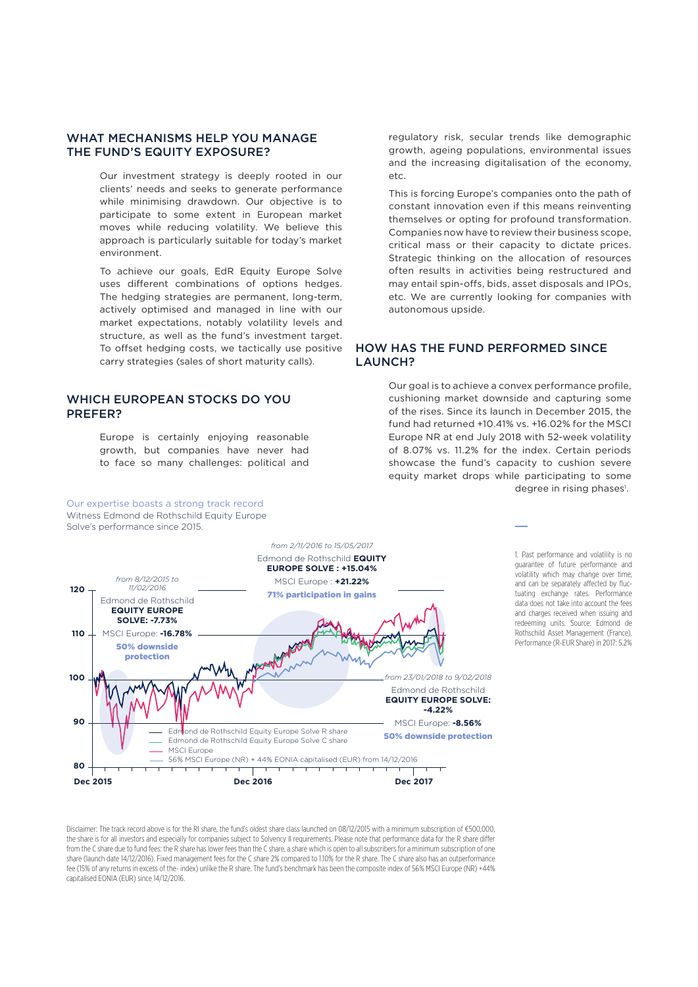## WHAT MECHANISMS HELP YOU MANAGE THE FUND'S EQUITY EXPOSURE?

Our investment strategy is deeply rooted in our clients' needs and seeks to generate performance while minimising drawdown. Our objective is to participate to some extent in European market moves while reducing volatility. We believe this approach is particularly suitable for today's market environment.

To achieve our goals, EdR Equity Europe Solve uses different combinations of options hedges. The hedging strategies are permanent, long-term, actively optimised and managed in line with our market expectations, notably volatility levels and structure, as well as the fund's investment target. To offset hedging costs, we tactically use positive carry strategies (sales of short maturity calls).

## WHICH EUROPEAN STOCKS DO YOU PREFER?

Our expertise boasts a strong track record

Europe is certainly enjoying reasonable growth, but companies have never had to face so many challenges: political and

### regulatory risk, secular trends like demographic growth, ageing populations, environmental issues and the increasing digitalisation of the economy,  $etc.$

This is forcing Europe's companies onto the path of constant innovation even if this means reinventing themselves or opting for profound transformation. Companies now have to review their business scope, critical mass or their capacity to dictate prices. Strategic thinking on the allocation of resources often results in activities being restructured and may entail spin-offs, bids, asset disposals and IPOs, etc. We are currently looking for companies with autonomous upside.

## HOW HAS THE FUND PERFORMED SINCE LAUNCH?

Our goal is to achieve a convex performance profile, cushioning market downside and capturing some of the rises. Since its launch in December 2015, the fund had returned +10.41% vs. +16.02% for the MSCI Europe NR at end July 2018 with 52-week volatility of 8.07% vs. 11.2% for the index. Certain periods showcase the fund's capacity to cushion severe equity market drops while participating to some degree in rising phases<sup>1</sup>.



1. Past performance and volatility is no guarantee of future performance and volatility which may change over time, and can be separately affected by fluctuating exchange rates. Performance data does not take into account the fees and charges received when issuing and redeeming units. Source: Edmond de Rothschild Asset Management (France). Performance (R-EUR Share) in 2017: 5.2%

Disclaimer: The track record above is for the RI share, the fund's oldest share class launched on 08/12/2015 with a minimum subscription of €500,000, the share is for all investors and especially for companies subject to Solvency II requirements. Please note that performance data for the R share differ from the C share due to fund fees: the R share has lower fees than the C share, a share which is open to all subscribers for a minimum subscription of one share (launch date 14/12/2016). Fixed management fees for the C share 2% compared to 1.10% for the R share. The C share also has an outperformance fee (15% of any returns in excess of the- index) unlike the R share. The fund's benchmark has been the composite index of 56% MSCI Europe (NR) +44% capitalised EONIA (EUR) since 14/12/2016.